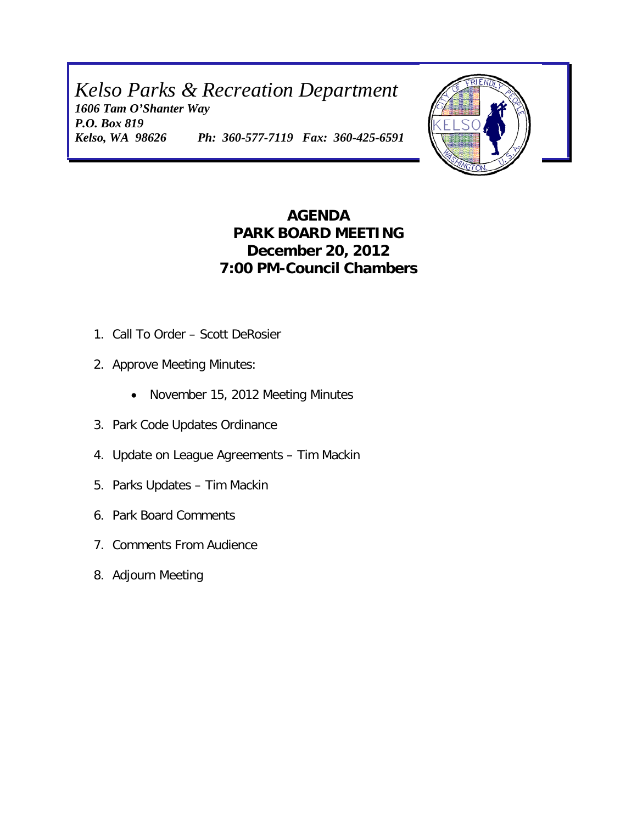*Kelso Parks & Recreation Department 1606 Tam O'Shanter Way P.O. Box 819 Kelso, WA 98626 Ph: 360-577-7119 Fax: 360-425-6591*



# **AGENDA PARK BOARD MEETING December 20, 2012 7:00 PM-Council Chambers**

- 1. Call To Order Scott DeRosier
- 2. Approve Meeting Minutes:
	- November 15, 2012 Meeting Minutes
- 3. Park Code Updates Ordinance
- 4. Update on League Agreements Tim Mackin
- 5. Parks Updates Tim Mackin
- 6. Park Board Comments
- 7. Comments From Audience
- 8. Adjourn Meeting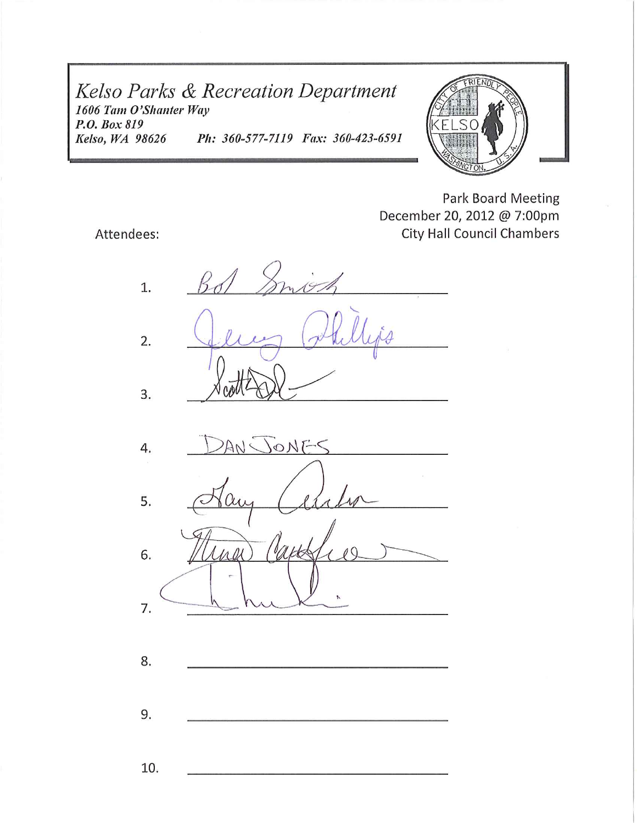Kelso Parks & Recreation Department 1606 Tam O'Shanter Way P.O. Box 819 Kelso, WA 98626 Ph: 360-577-7119 Fax: 360-423-6591



**Park Board Meeting** December 20, 2012 @ 7:00pm **City Hall Council Chambers** 

Attendees:

 $1.$  $2.$ 3. JONES  $AN$ 4. 5.  $\ln M$ 6.

8.

9.

7.

10.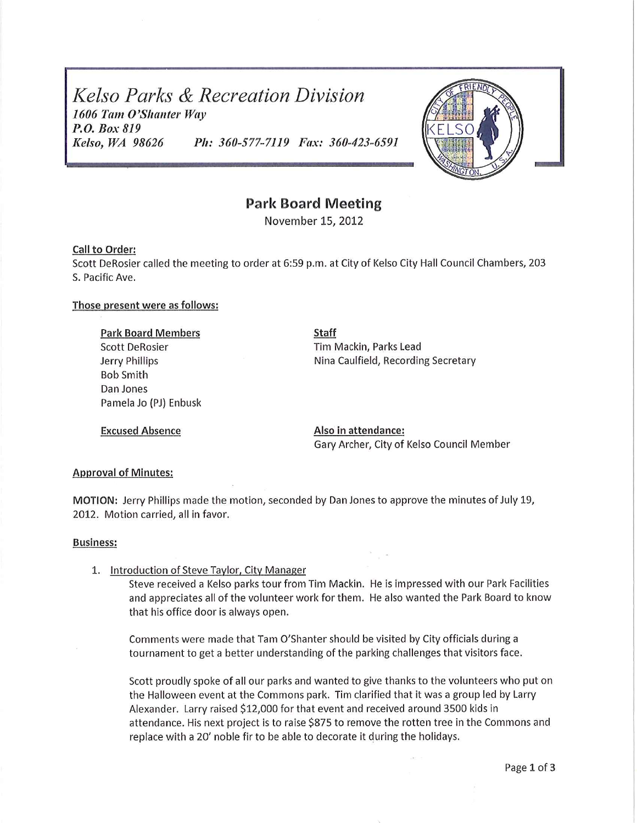Kelso Parks & Recreation Division 1606 Tam O'Shanter Way P.O. Box 819 Ph: 360-577-7119 Fax: 360-423-6591 Kelso, WA 98626



# **Park Board Meeting**

November 15, 2012

#### Call to Order:

Scott DeRosier called the meeting to order at 6:59 p.m. at City of Kelso City Hall Council Chambers, 203 S. Pacific Ave.

#### Those present were as follows:

**Park Board Members Scott DeRosier** Jerry Phillips **Bob Smith** Dan Jones Pamela Jo (PJ) Enbusk

**Staff** Tim Mackin, Parks Lead Nina Caulfield, Recording Secretary

**Excused Absence** 

Also in attendance: Gary Archer, City of Kelso Council Member

#### **Approval of Minutes:**

MOTION: Jerry Phillips made the motion, seconded by Dan Jones to approve the minutes of July 19, 2012. Motion carried, all in favor.

#### **Business:**

1. Introduction of Steve Taylor, City Manager

Steve received a Kelso parks tour from Tim Mackin. He is impressed with our Park Facilities and appreciates all of the volunteer work for them. He also wanted the Park Board to know that his office door is always open.

Comments were made that Tam O'Shanter should be visited by City officials during a tournament to get a better understanding of the parking challenges that visitors face.

Scott proudly spoke of all our parks and wanted to give thanks to the volunteers who put on the Halloween event at the Commons park. Tim clarified that it was a group led by Larry Alexander. Larry raised \$12,000 for that event and received around 3500 kids in attendance. His next project is to raise \$875 to remove the rotten tree in the Commons and replace with a 20' noble fir to be able to decorate it during the holidays.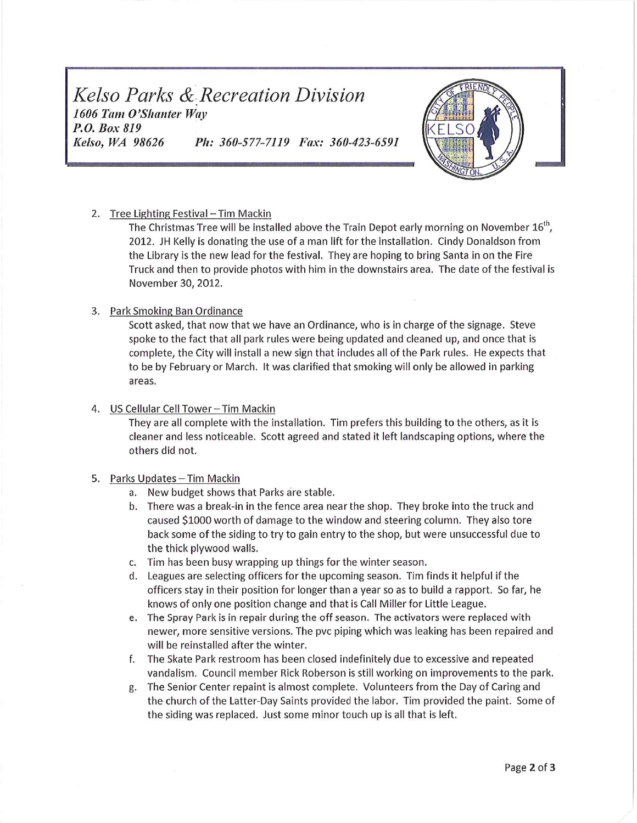Kelso Parks & Recreation Division 1606 Tam O'Shanter Way P.O. Box 819 Kelso, WA 98626 Ph: 360-577-7119 Fax: 360-423-6591



2. Tree Lighting Festival - Tim Mackin

The Christmas Tree will be installed above the Train Depot early morning on November 16<sup>th</sup>, 2012. JH Kelly is donating the use of a man lift for the installation. Cindy Donaldson from the Library is the new lead for the festival. They are hoping to bring Santa in on the Fire Truck and then to provide photos with him in the downstairs area. The date of the festival is November 30, 2012.

3. Park Smoking Ban Ordinance

Scott asked, that now that we have an Ordinance, who is in charge of the signage. Steve spoke to the fact that all park rules were being updated and cleaned up, and once that is complete, the City will install a new sign that includes all of the Park rules. He expects that to be by February or March. It was clarified that smoking will only be allowed in parking areas.

4. US Cellular Cell Tower - Tim Mackin

They are all complete with the installation. Tim prefers this building to the others, as it is cleaner and less noticeable. Scott agreed and stated it left landscaping options, where the others did not.

#### 5. Parks Updates - Tim Mackin

- a. New budget shows that Parks are stable.
- b. There was a break-in in the fence area near the shop. They broke into the truck and caused \$1000 worth of damage to the window and steering column. They also tore back some of the siding to try to gain entry to the shop, but were unsuccessful due to the thick plywood walls.
- c. Tim has been busy wrapping up things for the winter season.
- d. Leagues are selecting officers for the upcoming season. Tim finds it helpful if the officers stay in their position for longer than a year so as to build a rapport. So far, he knows of only one position change and that is Call Miller for Little League.
- e. The Spray Park is in repair during the off season. The activators were replaced with newer, more sensitive versions. The pvc piping which was leaking has been repaired and will be reinstalled after the winter.
- f. The Skate Park restroom has been closed indefinitely due to excessive and repeated vandalism. Council member Rick Roberson is still working on improvements to the park.
- g. The Senior Center repaint is almost complete. Volunteers from the Day of Caring and the church of the Latter-Day Saints provided the labor. Tim provided the paint. Some of the siding was replaced. Just some minor touch up is all that is left.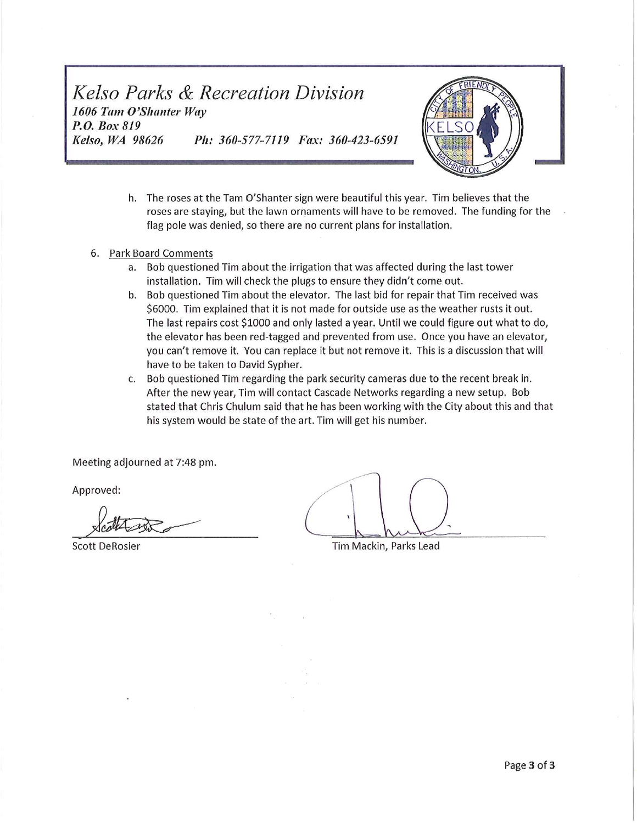### Kelso Parks & Recreation Division 1606 Tam O'Shanter Way P.O. Box 819 Ph: 360-577-7119 Fax: 360-423-6591 Kelso, WA 98626



- h. The roses at the Tam O'Shanter sign were beautiful this year. Tim believes that the roses are staying, but the lawn ornaments will have to be removed. The funding for the flag pole was denied, so there are no current plans for installation.
- 6. Park Board Comments
	- a. Bob questioned Tim about the irrigation that was affected during the last tower installation. Tim will check the plugs to ensure they didn't come out.
	- b. Bob questioned Tim about the elevator. The last bid for repair that Tim received was \$6000. Tim explained that it is not made for outside use as the weather rusts it out. The last repairs cost \$1000 and only lasted a year. Until we could figure out what to do, the elevator has been red-tagged and prevented from use. Once you have an elevator, you can't remove it. You can replace it but not remove it. This is a discussion that will have to be taken to David Sypher.
	- c. Bob questioned Tim regarding the park security cameras due to the recent break in. After the new year, Tim will contact Cascade Networks regarding a new setup. Bob stated that Chris Chulum said that he has been working with the City about this and that his system would be state of the art. Tim will get his number.

Meeting adjourned at 7:48 pm.

Approved:

**Scott DeRosier** 

Tim Mackin, Parks Lead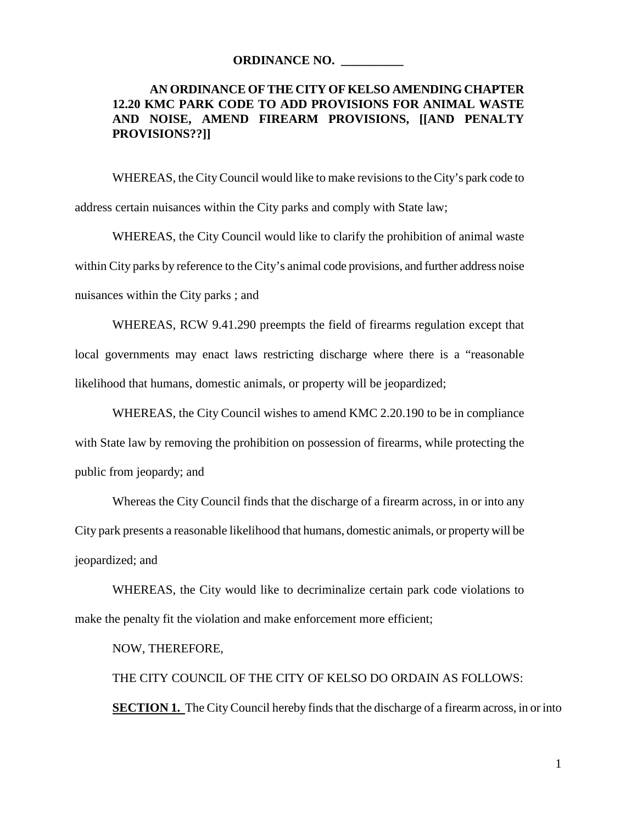#### **ORDINANCE NO. \_\_\_\_\_\_\_\_\_\_**

## **AN ORDINANCE OF THE CITY OF KELSO AMENDING CHAPTER 12.20 KMC PARK CODE TO ADD PROVISIONS FOR ANIMAL WASTE AND NOISE, AMEND FIREARM PROVISIONS, [[AND PENALTY PROVISIONS??]]**

WHEREAS, the City Council would like to make revisions to the City's park code to address certain nuisances within the City parks and comply with State law;

WHEREAS, the City Council would like to clarify the prohibition of animal waste within City parks by reference to the City's animal code provisions, and further address noise nuisances within the City parks ; and

WHEREAS, RCW 9.41.290 preempts the field of firearms regulation except that local governments may enact laws restricting discharge where there is a "reasonable likelihood that humans, domestic animals, or property will be jeopardized;

WHEREAS, the City Council wishes to amend KMC 2.20.190 to be in compliance with State law by removing the prohibition on possession of firearms, while protecting the public from jeopardy; and

Whereas the City Council finds that the discharge of a firearm across, in or into any City park presents a reasonable likelihood that humans, domestic animals, or property will be jeopardized; and

WHEREAS, the City would like to decriminalize certain park code violations to make the penalty fit the violation and make enforcement more efficient;

NOW, THEREFORE,

THE CITY COUNCIL OF THE CITY OF KELSO DO ORDAIN AS FOLLOWS: **SECTION 1.** The City Council hereby finds that the discharge of a firearm across, in or into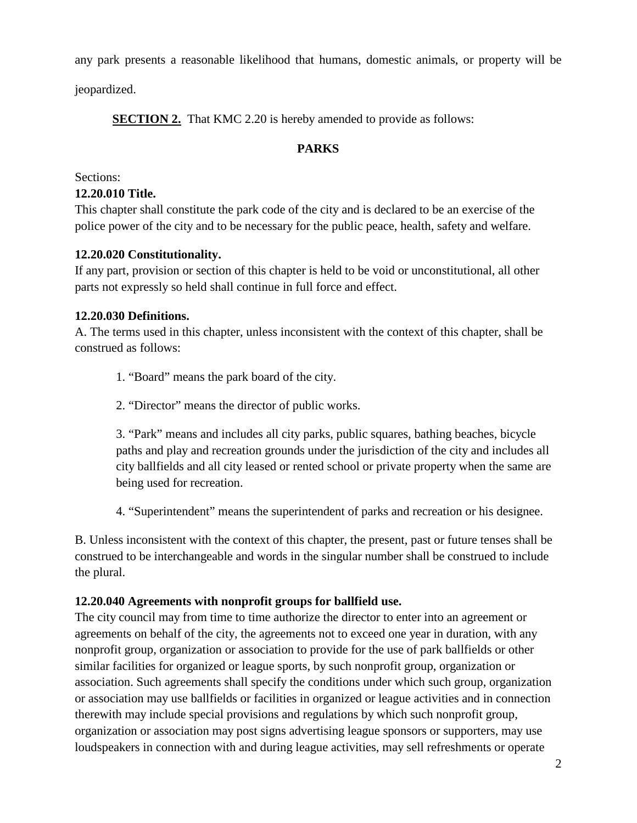any park presents a reasonable likelihood that humans, domestic animals, or property will be

jeopardized.

**SECTION 2.** That KMC 2.20 is hereby amended to provide as follows:

## **PARKS**

Sections:

## **12.20.010 Title.**

This chapter shall constitute the park code of the city and is declared to be an exercise of the police power of the city and to be necessary for the public peace, health, safety and welfare.

## **12.20.020 Constitutionality.**

If any part, provision or section of this chapter is held to be void or unconstitutional, all other parts not expressly so held shall continue in full force and effect.

## **12.20.030 Definitions.**

A. The terms used in this chapter, unless inconsistent with the context of this chapter, shall be construed as follows:

- 1. "Board" means the park board of the city.
- 2. "Director" means the director of public works.

3. "Park" means and includes all city parks, public squares, bathing beaches, bicycle paths and play and recreation grounds under the jurisdiction of the city and includes all city ballfields and all city leased or rented school or private property when the same are being used for recreation.

4. "Superintendent" means the superintendent of parks and recreation or his designee.

B. Unless inconsistent with the context of this chapter, the present, past or future tenses shall be construed to be interchangeable and words in the singular number shall be construed to include the plural.

## **12.20.040 Agreements with nonprofit groups for ballfield use.**

The city council may from time to time authorize the director to enter into an agreement or agreements on behalf of the city, the agreements not to exceed one year in duration, with any nonprofit group, organization or association to provide for the use of park ballfields or other similar facilities for organized or league sports, by such nonprofit group, organization or association. Such agreements shall specify the conditions under which such group, organization or association may use ballfields or facilities in organized or league activities and in connection therewith may include special provisions and regulations by which such nonprofit group, organization or association may post signs advertising league sponsors or supporters, may use loudspeakers in connection with and during league activities, may sell refreshments or operate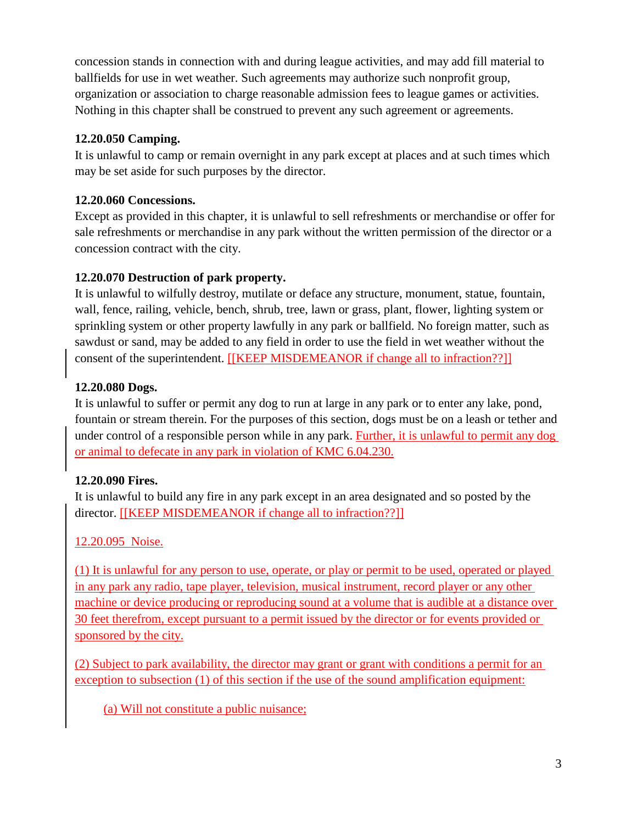concession stands in connection with and during league activities, and may add fill material to ballfields for use in wet weather. Such agreements may authorize such nonprofit group, organization or association to charge reasonable admission fees to league games or activities. Nothing in this chapter shall be construed to prevent any such agreement or agreements.

## **12.20.050 Camping.**

It is unlawful to camp or remain overnight in any park except at places and at such times which may be set aside for such purposes by the director.

## **12.20.060 Concessions.**

Except as provided in this chapter, it is unlawful to sell refreshments or merchandise or offer for sale refreshments or merchandise in any park without the written permission of the director or a concession contract with the city.

## **12.20.070 Destruction of park property.**

It is unlawful to wilfully destroy, mutilate or deface any structure, monument, statue, fountain, wall, fence, railing, vehicle, bench, shrub, tree, lawn or grass, plant, flower, lighting system or sprinkling system or other property lawfully in any park or ballfield. No foreign matter, such as sawdust or sand, may be added to any field in order to use the field in wet weather without the consent of the superintendent. [[KEEP MISDEMEANOR if change all to infraction??]]

## **12.20.080 Dogs.**

It is unlawful to suffer or permit any dog to run at large in any park or to enter any lake, pond, fountain or stream therein. For the purposes of this section, dogs must be on a leash or tether and under control of a responsible person while in any park. Further, it is unlawful to permit any dog or animal to defecate in any park in violation of KMC 6.04.230.

## **12.20.090 Fires.**

It is unlawful to build any fire in any park except in an area designated and so posted by the director. [[KEEP MISDEMEANOR if change all to infraction??]]

## 12.20.095 Noise.

(1) It is unlawful for any person to use, operate, or play or permit to be used, operated or played in any park any radio, tape player, television, musical instrument, record player or any other machine or device producing or reproducing sound at a volume that is audible at a distance over 30 feet therefrom, except pursuant to a permit issued by the director or for events provided or sponsored by the city.

(2) Subject to park availability, the director may grant or grant with conditions a permit for an exception to subsection (1) of this section if the use of the sound amplification equipment:

(a) Will not constitute a public nuisance;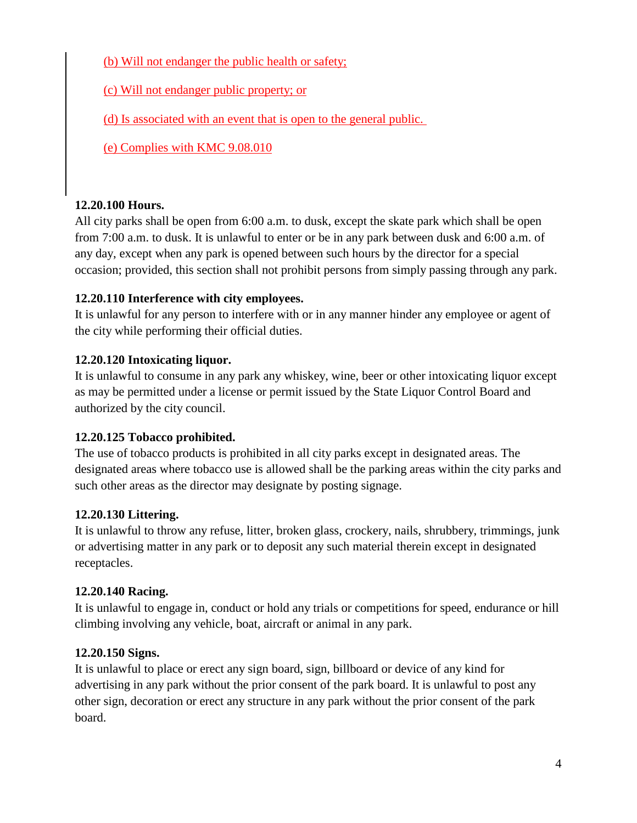(b) Will not endanger the public health or safety;

(c) Will not endanger public property; or

(d) Is associated with an event that is open to the general public.

(e) Complies with KMC 9.08.010

## **12.20.100 Hours.**

All city parks shall be open from 6:00 a.m. to dusk, except the skate park which shall be open from 7:00 a.m. to dusk. It is unlawful to enter or be in any park between dusk and 6:00 a.m. of any day, except when any park is opened between such hours by the director for a special occasion; provided, this section shall not prohibit persons from simply passing through any park.

# **12.20.110 Interference with city employees.**

It is unlawful for any person to interfere with or in any manner hinder any employee or agent of the city while performing their official duties.

# **12.20.120 Intoxicating liquor.**

It is unlawful to consume in any park any whiskey, wine, beer or other intoxicating liquor except as may be permitted under a license or permit issued by the State Liquor Control Board and authorized by the city council.

# **12.20.125 Tobacco prohibited.**

The use of tobacco products is prohibited in all city parks except in designated areas. The designated areas where tobacco use is allowed shall be the parking areas within the city parks and such other areas as the director may designate by posting signage.

# **12.20.130 Littering.**

It is unlawful to throw any refuse, litter, broken glass, crockery, nails, shrubbery, trimmings, junk or advertising matter in any park or to deposit any such material therein except in designated receptacles.

# **12.20.140 Racing.**

It is unlawful to engage in, conduct or hold any trials or competitions for speed, endurance or hill climbing involving any vehicle, boat, aircraft or animal in any park.

# **12.20.150 Signs.**

It is unlawful to place or erect any sign board, sign, billboard or device of any kind for advertising in any park without the prior consent of the park board. It is unlawful to post any other sign, decoration or erect any structure in any park without the prior consent of the park board.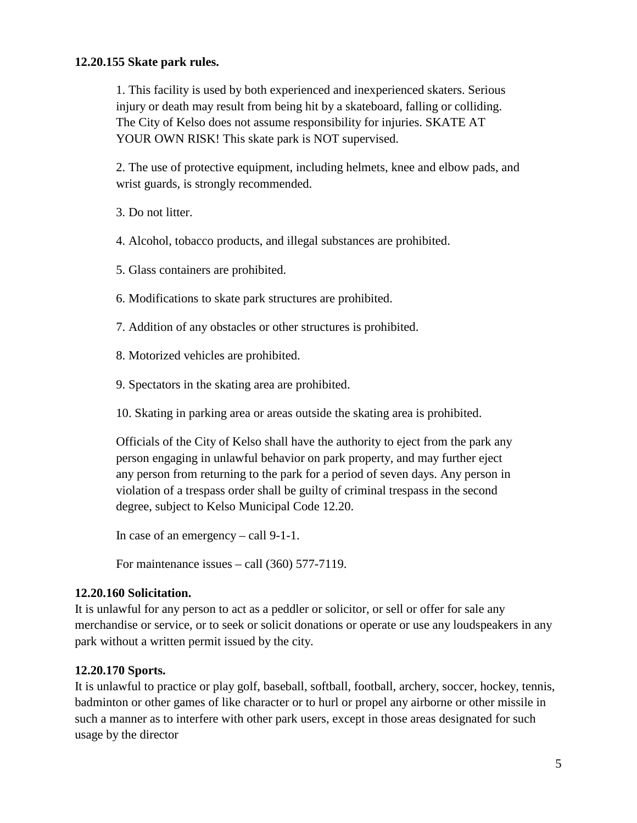#### **12.20.155 Skate park rules.**

1. This facility is used by both experienced and inexperienced skaters. Serious injury or death may result from being hit by a skateboard, falling or colliding. The City of Kelso does not assume responsibility for injuries. SKATE AT YOUR OWN RISK! This skate park is NOT supervised.

2. The use of protective equipment, including helmets, knee and elbow pads, and wrist guards, is strongly recommended.

3. Do not litter.

4. Alcohol, tobacco products, and illegal substances are prohibited.

5. Glass containers are prohibited.

6. Modifications to skate park structures are prohibited.

7. Addition of any obstacles or other structures is prohibited.

8. Motorized vehicles are prohibited.

9. Spectators in the skating area are prohibited.

10. Skating in parking area or areas outside the skating area is prohibited.

Officials of the City of Kelso shall have the authority to eject from the park any person engaging in unlawful behavior on park property, and may further eject any person from returning to the park for a period of seven days. Any person in violation of a trespass order shall be guilty of criminal trespass in the second degree, subject to Kelso Municipal Code 12.20.

In case of an emergency – call 9-1-1.

For maintenance issues – call (360) 577-7119.

## **12.20.160 Solicitation.**

It is unlawful for any person to act as a peddler or solicitor, or sell or offer for sale any merchandise or service, or to seek or solicit donations or operate or use any loudspeakers in any park without a written permit issued by the city.

## **12.20.170 Sports.**

It is unlawful to practice or play golf, baseball, softball, football, archery, soccer, hockey, tennis, badminton or other games of like character or to hurl or propel any airborne or other missile in such a manner as to interfere with other park users, except in those areas designated for such usage by the director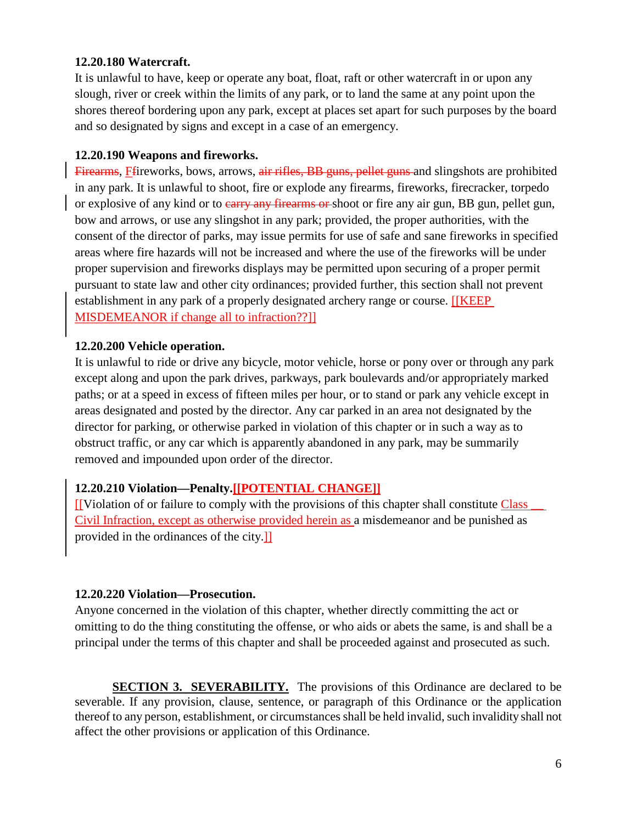## **12.20.180 Watercraft.**

It is unlawful to have, keep or operate any boat, float, raft or other watercraft in or upon any slough, river or creek within the limits of any park, or to land the same at any point upon the shores thereof bordering upon any park, except at places set apart for such purposes by the board and so designated by signs and except in a case of an emergency.

#### **12.20.190 Weapons and fireworks.**

Firearms, Fireworks, bows, arrows, air rifles, BB guns, pellet guns and slingshots are prohibited in any park. It is unlawful to shoot, fire or explode any firearms, fireworks, firecracker, torpedo or explosive of any kind or to *carry any firearms or* shoot or fire any air gun, BB gun, pellet gun, bow and arrows, or use any slingshot in any park; provided, the proper authorities, with the consent of the director of parks, may issue permits for use of safe and sane fireworks in specified areas where fire hazards will not be increased and where the use of the fireworks will be under proper supervision and fireworks displays may be permitted upon securing of a proper permit pursuant to state law and other city ordinances; provided further, this section shall not prevent establishment in any park of a properly designated archery range or course. [[KEEP MISDEMEANOR if change all to infraction??]]

#### **12.20.200 Vehicle operation.**

It is unlawful to ride or drive any bicycle, motor vehicle, horse or pony over or through any park except along and upon the park drives, parkways, park boulevards and/or appropriately marked paths; or at a speed in excess of fifteen miles per hour, or to stand or park any vehicle except in areas designated and posted by the director. Any car parked in an area not designated by the director for parking, or otherwise parked in violation of this chapter or in such a way as to obstruct traffic, or any car which is apparently abandoned in any park, may be summarily removed and impounded upon order of the director.

## **12.20.210 Violation—Penalty.[[POTENTIAL CHANGE]]**

[[Violation of or failure to comply with the provisions of this chapter shall constitute Class \_\_ Civil Infraction, except as otherwise provided herein as a misdemeanor and be punished as provided in the ordinances of the city.]]

## **12.20.220 Violation—Prosecution.**

Anyone concerned in the violation of this chapter, whether directly committing the act or omitting to do the thing constituting the offense, or who aids or abets the same, is and shall be a principal under the terms of this chapter and shall be proceeded against and prosecuted as such.

**SECTION 3. SEVERABILITY.** The provisions of this Ordinance are declared to be severable. If any provision, clause, sentence, or paragraph of this Ordinance or the application thereof to any person, establishment, or circumstances shall be held invalid, such invalidity shall not affect the other provisions or application of this Ordinance.